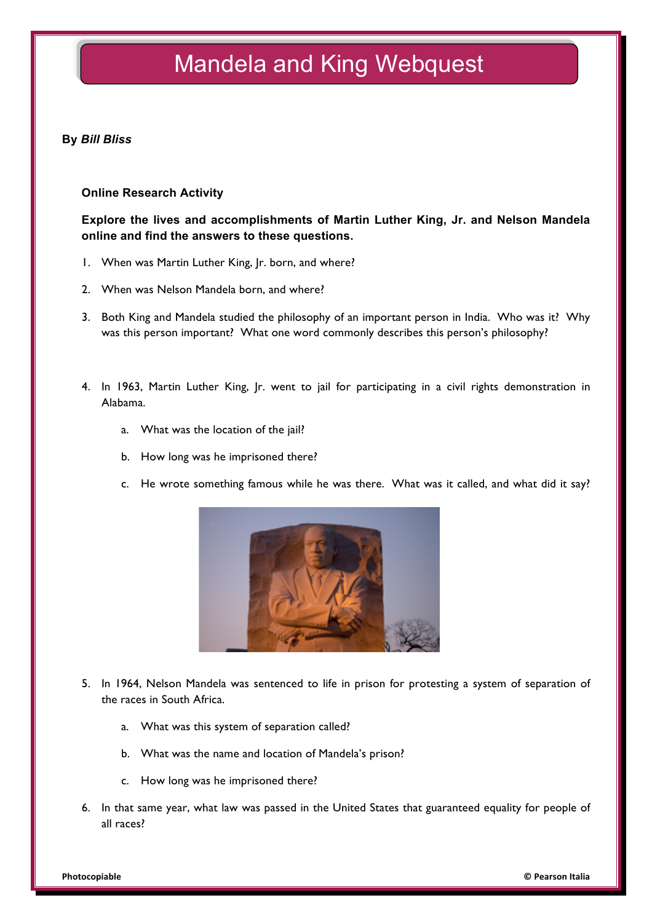# Mandela and King Webquest

### **By** *Bill Bliss*

#### **Online Research Activity**

**Explore the lives and accomplishments of Martin Luther King, Jr. and Nelson Mandela online and find the answers to these questions.** 

- 1. When was Martin Luther King, Jr. born, and where?
- 2. When was Nelson Mandela born, and where?
- 3. Both King and Mandela studied the philosophy of an important person in India. Who was it? Why was this person important? What one word commonly describes this person's philosophy?
- 4. In 1963, Martin Luther King, Jr. went to jail for participating in a civil rights demonstration in Alabama.
	- a. What was the location of the jail?
	- b. How long was he imprisoned there?
	- c. He wrote something famous while he was there. What was it called, and what did it say?



- 5. In 1964, Nelson Mandela was sentenced to life in prison for protesting a system of separation of the races in South Africa.
	- a. What was this system of separation called?
	- b. What was the name and location of Mandela's prison?
	- c. How long was he imprisoned there?
- 6. In that same year, what law was passed in the United States that guaranteed equality for people of all races?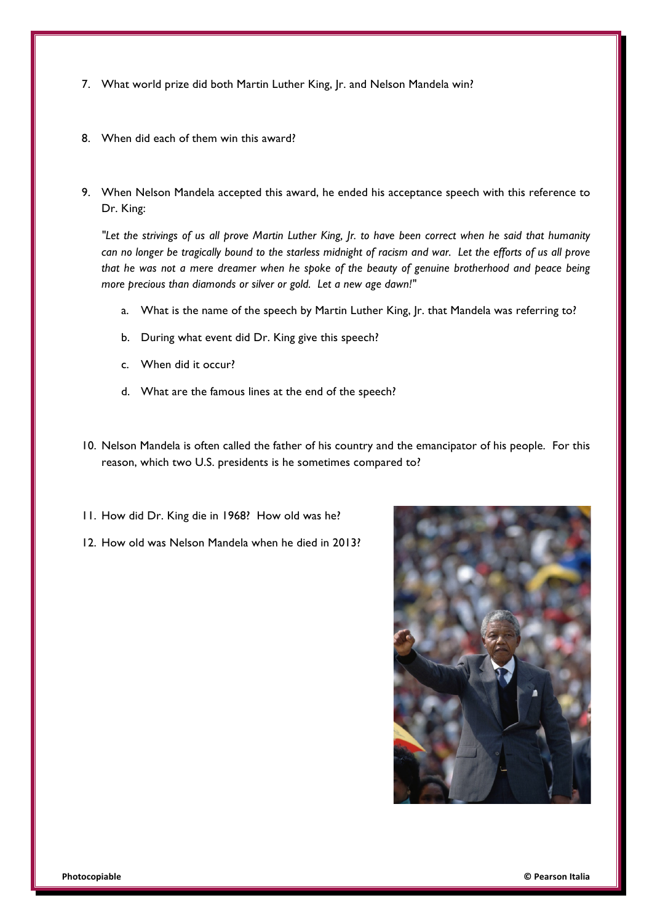- 7. What world prize did both Martin Luther King, Jr. and Nelson Mandela win?
- 8. When did each of them win this award?
- 9. When Nelson Mandela accepted this award, he ended his acceptance speech with this reference to Dr. King:

*"Let the strivings of us all prove Martin Luther King, Jr. to have been correct when he said that humanity can no longer be tragically bound to the starless midnight of racism and war. Let the efforts of us all prove that he was not a mere dreamer when he spoke of the beauty of genuine brotherhood and peace being more precious than diamonds or silver or gold. Let a new age dawn!"*

- a. What is the name of the speech by Martin Luther King, Jr. that Mandela was referring to?
- b. During what event did Dr. King give this speech?
- c. When did it occur?
- d. What are the famous lines at the end of the speech?
- 10. Nelson Mandela is often called the father of his country and the emancipator of his people. For this reason, which two U.S. presidents is he sometimes compared to?
- 11. How did Dr. King die in 1968? How old was he?
- 12. How old was Nelson Mandela when he died in 2013?

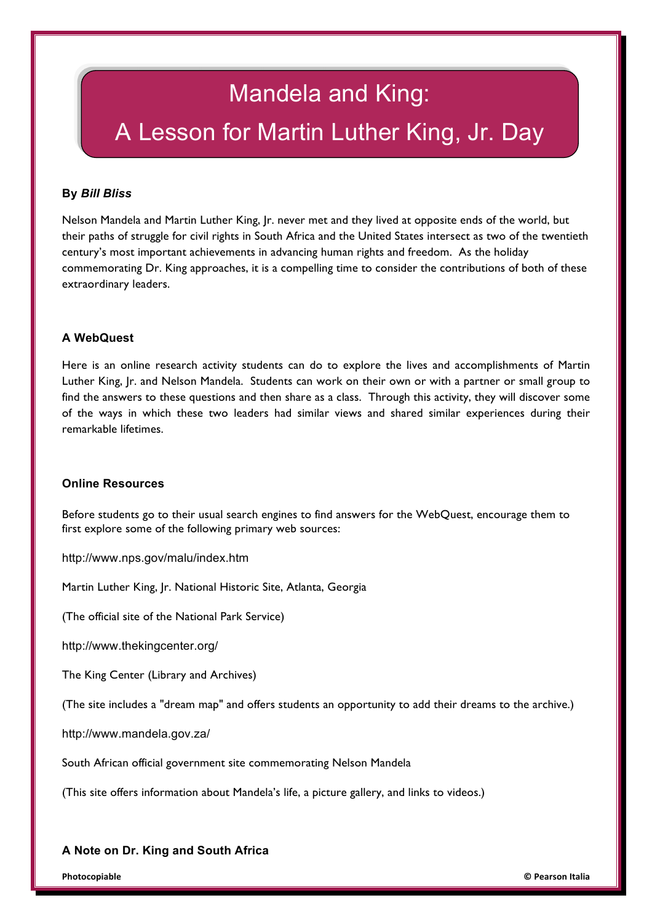# Mandela and King: A Lesson for Martin Luther King, Jr. Day

# **By** *Bill Bliss*

Nelson Mandela and Martin Luther King, Jr. never met and they lived at opposite ends of the world, but their paths of struggle for civil rights in South Africa and the United States intersect as two of the twentieth century's most important achievements in advancing human rights and freedom. As the holiday commemorating Dr. King approaches, it is a compelling time to consider the contributions of both of these extraordinary leaders.

# **A WebQuest**

Here is an online research activity students can do to explore the lives and accomplishments of Martin Luther King, Ir. and Nelson Mandela. Students can work on their own or with a partner or small group to find the answers to these questions and then share as a class. Through this activity, they will discover some of the ways in which these two leaders had similar views and shared similar experiences during their remarkable lifetimes.

#### **Online Resources**

Before students go to their usual search engines to find answers for the WebQuest, encourage them to first explore some of the following primary web sources:

http://www.nps.gov/malu/index.htm

Martin Luther King, Jr. National Historic Site, Atlanta, Georgia

(The official site of the National Park Service)

http://www.thekingcenter.org/

The King Center (Library and Archives)

(The site includes a "dream map" and offers students an opportunity to add their dreams to the archive.)

http://www.mandela.gov.za/

South African official government site commemorating Nelson Mandela

(This site offers information about Mandela's life, a picture gallery, and links to videos.)

# **A Note on Dr. King and South Africa**